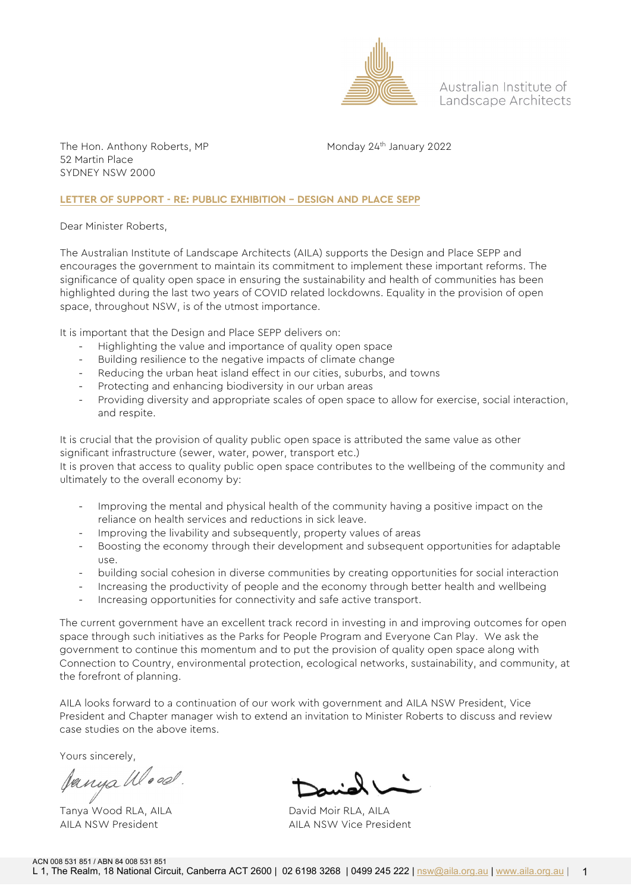

Australian Institute of Landscape Architects

The Hon. Anthony Roberts, MP Monday 24<sup>th</sup> January 2022 52 Martin Place SYDNEY NSW 2000

#### **LETTER OF SUPPORT - RE: PUBLIC EXHIBITION – DESIGN AND PLACE SEPP**

Dear Minister Roberts,

The Australian Institute of Landscape Architects (AILA) supports the Design and Place SEPP and encourages the government to maintain its commitment to implement these important reforms. The significance of quality open space in ensuring the sustainability and health of communities has been highlighted during the last two years of COVID related lockdowns. Equality in the provision of open space, throughout NSW, is of the utmost importance.

It is important that the Design and Place SEPP delivers on:

- Highlighting the value and importance of quality open space
- Building resilience to the negative impacts of climate change
- Reducing the urban heat island effect in our cities, suburbs, and towns
- Protecting and enhancing biodiversity in our urban areas
- Providing diversity and appropriate scales of open space to allow for exercise, social interaction, and respite.

It is crucial that the provision of quality public open space is attributed the same value as other significant infrastructure (sewer, water, power, transport etc.)

It is proven that access to quality public open space contributes to the wellbeing of the community and ultimately to the overall economy by:

- Improving the mental and physical health of the community having a positive impact on the reliance on health services and reductions in sick leave.
- Improving the livability and subsequently, property values of areas
- Boosting the economy through their development and subsequent opportunities for adaptable use.
- building social cohesion in diverse communities by creating opportunities for social interaction
- Increasing the productivity of people and the economy through better health and wellbeing
- Increasing opportunities for connectivity and safe active transport.

The current government have an excellent track record in investing in and improving outcomes for open space through such initiatives as the Parks for People Program and Everyone Can Play. We ask the government to continue this momentum and to put the provision of quality open space along with Connection to Country, environmental protection, ecological networks, sustainability, and community, at the forefront of planning.

AILA looks forward to a continuation of our work with government and AILA NSW President, Vice President and Chapter manager wish to extend an invitation to Minister Roberts to discuss and review case studies on the above items.

Yours sincerely,

Janya Wood.

Tanya Wood RLA, AILA David Moir RLA, AILA

AILA NSW President AILA NSW Vice President